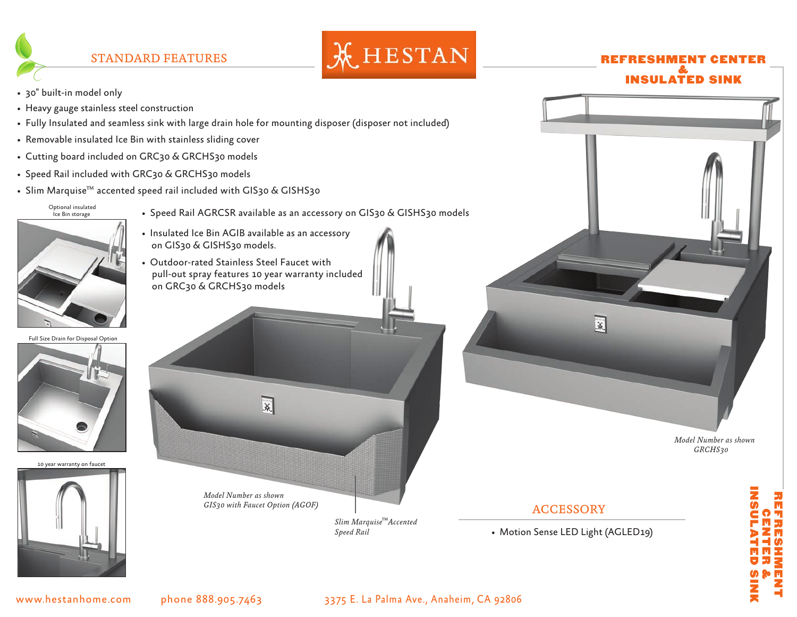

## & INSULATED SINK

- 30" built-in model only
- Heavy gauge stainless steel construction
- Fully Insulated and seamless sink with large drain hole for mounting disposer (disposer not included)
- Removable insulated Ice Bin with stainless sliding cover
- Cutting board included on GRC30 & GRCHS30 models
- Speed Rail included with GRC30 & GRCHS30 models
- Slim Marquise™ accented speed rail included with GIS30 & GISHS30



- Speed Rail AGRCSR available as an accessory on GIS30 & GISHS30 models
- Insulated Ice Bin AGIB available as an accessory on GIS30 & GISHS30 models.
- Outdoor-rated Stainless Steel Faucet with pull-out spray features 10 year warranty included on GRC30 & GRCHS30 models

Full Size Drain for Disposal Option



10 year warranty on faucet





• Motion Sense LED Light (AGLED19)

ACCESSORY

*Model Number as shown GRCHS30*